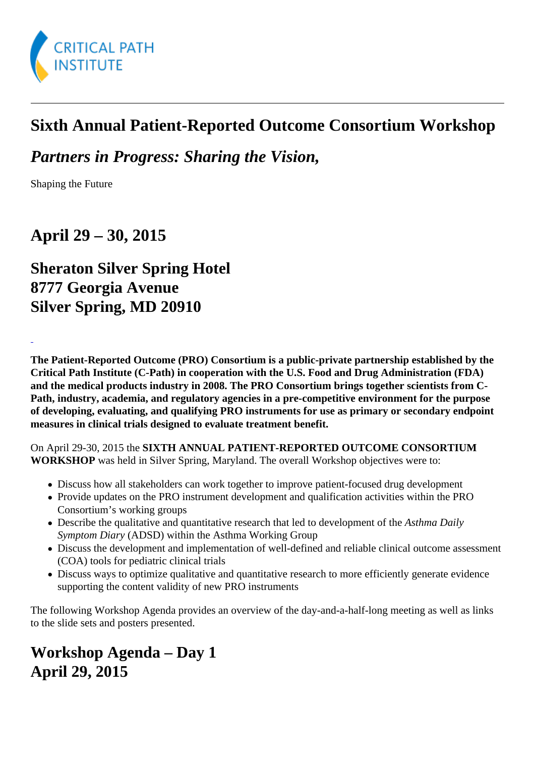## Sixth Annual Patient-Reported Outcome Consortium Workshop

Partners in Progress: Sharing the Vision,

Shaping the Future

April 29 – 30, 2015

## Sheraton Silver Spring Hotel 8777 Georgia Avenue Silver Spring, MD 20910

The Patient-Reported Outcome (PRO) Consortium is a public-private partnership established by the Critical Path Institute (C-Path) in cooperation with the U.S. Food and Drug Administration (FDA) and the medical products industry in 2008. The PRO Consortium brings together scientists from C-Path, industry, academia, and regulatory agencies in a pre-competitive environment for the purpose of developing, evaluating, and qualifying PRO instruments for use as primary or secondary endpoint measures in clinical trials designed to evaluate treatment benefit.

On April 29-30, 2015 th@IXTH ANNUAL PATIENT-REPORTED OUTCOME CONSORTIUM WORKSHOP was held in Silver Spring, Maryland. The overall Workshop objectives were to:

- Discuss how all stakeholders can work together to improve patient-focused drug development
- Provide updates on the PRO instrument development and qualification activities within the PRO Consortium's working groups
- Describe the qualitative and quantitative research that led to development as the Daily Symptom Diary (ADSD) within the Asthma Working Group
- Discuss the development and implementation of well-defined and reliable clinical outcome assessme (COA) tools for pediatric clinical trials
- Discuss ways to optimize qualitative and quantitative research to more efficiently generate evidence supporting the content validity of new PRO instruments

The following Workshop Agenda provides an overview of the day-and-a-half-long meeting as well as links to the slide sets and posters presented.

Workshop Agenda – Day 1 April 29, 2015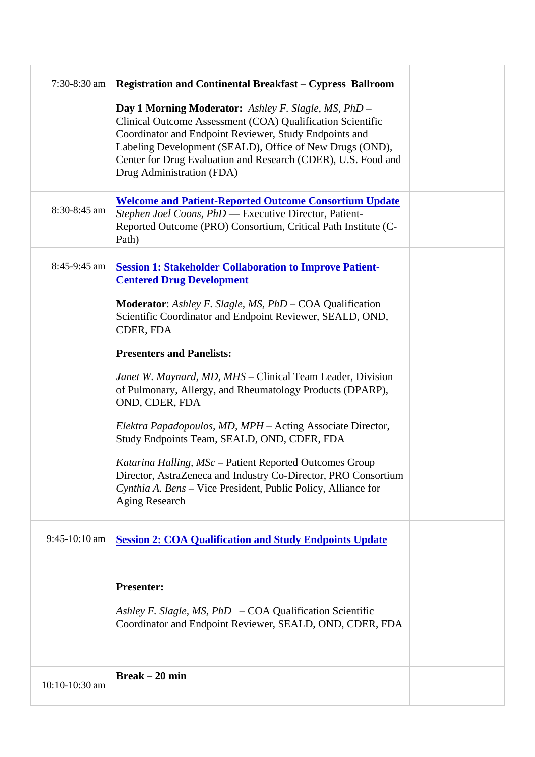|                | 7:30-8:30 am Registration and Continental Breakfast- Cypress Ballroom                                                                                                                                                                                                                                                                                         |  |
|----------------|---------------------------------------------------------------------------------------------------------------------------------------------------------------------------------------------------------------------------------------------------------------------------------------------------------------------------------------------------------------|--|
|                | Day 1 Morning Moderator: Ashley F. Slagle, MS, PhD<br>Clinical Outcome Assessment (COA) Qualification Scientific<br>Coordinator and Endpoint Reviewer, Study Endpoints and<br>Labeling Development (SEALD), Office of New Drugs (OND),<br>Center for Drug Evaluation and Research (CDER), U.S. Food and<br>Drug Administration (FDA)                          |  |
|                | Welcome and Patient-Reported Outcome Consortium Update<br>8:30-8:45 am Stephen Joel Coons, PhD Executive Director, Patient-<br>Reported Outcome (PRO) Consortium, Critical Path Institute (C-<br>Path)                                                                                                                                                        |  |
|                | 8:45-9:45 am Session 1: Stakeholder Collaboration to Improve Patient-<br><b>Centered Drug Development</b><br>Moderator: Ashley F. Slagle, MS, PhDCOA Qualification<br>Scientific Coordinator and Endpoint Reviewer, SEALD, OND,                                                                                                                               |  |
|                | CDER, FDA<br><b>Presenters and Panelists:</b><br>Janet W. Maynard, MD, MHS Clinical Team Leader, Division<br>of Pulmonary, Allergy, and Rheumatology Products (DPARP).<br>OND, CDER, FDA<br>Elektra Papadopoulos, MD, MPH Acting Associate Director,<br>Study Endpoints Team, SEALD, OND, CDER, FDA<br>Katarina Halling, MSc- Patient Reported Outcomes Group |  |
|                | Director, AstraZeneca and Industry Co-Director, PRO Consortium<br>Cynthia A. Bens Vice President, Public Policy, Alliance for<br>Aging Research                                                                                                                                                                                                               |  |
|                | 9:45-10:10 am Session 2: COA Qualification and Study Endpoints Update                                                                                                                                                                                                                                                                                         |  |
|                | Presenter:<br>Ashley F. Slagle, MS, PhD- COA Qualification Scientific<br>Coordinator and Endpoint Reviewer, SEALD, OND, CDER, FDA                                                                                                                                                                                                                             |  |
| 10:10-10:30 am | Break $-20$ min                                                                                                                                                                                                                                                                                                                                               |  |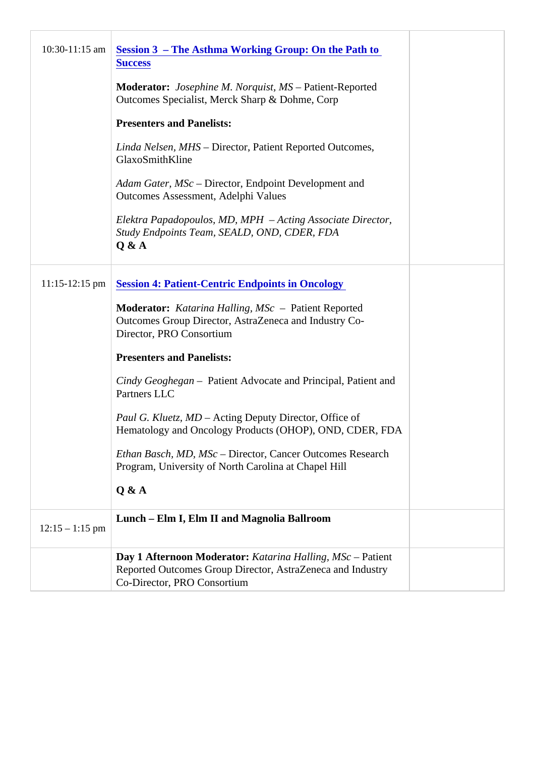|                   | 10:30-11:15 am Session 3 - The Asthma Working Group: On the Path to<br><b>Success</b>                                                                 |  |
|-------------------|-------------------------------------------------------------------------------------------------------------------------------------------------------|--|
|                   | Moderator: Josephine M. Norquist, MSPatient-Reported<br>Outcomes Specialist, Merck Sharp & Dohme, Corp                                                |  |
|                   | <b>Presenters and Panelists:</b>                                                                                                                      |  |
|                   | Linda Nelsen, MHS Director, Patient Reported Outcomes,<br>GlaxoSmithKline                                                                             |  |
|                   | Adam Gater, MSc Director, Endpoint Development and<br>Outcomes Assessment, Adelphi Values                                                             |  |
|                   | Elektra Papadopoulos, MD, MPH - Acting Associate Director,<br>Study Endpoints Team, SEALD, OND, CDER, FDA<br>Q & A                                    |  |
|                   | 11:15-12:15 pm Session 4: Patient-Centric Endpoints in Oncology                                                                                       |  |
|                   | Moderator: Katarina Halling, MSc- Patient Reported<br>Outcomes Group Director, AstraZeneca and Industry Co-<br>Director, PRO Consortium               |  |
|                   | <b>Presenters and Panelists:</b>                                                                                                                      |  |
|                   | Cindy Geoghegan Patient Advocate and Principal, Patient and<br><b>Partners LLC</b>                                                                    |  |
|                   | Paul G. Kluetz, MD-Acting Deputy Director, Office of<br>Hematology and Oncology Products (OHOP), OND, CDER, FDA                                       |  |
|                   | Ethan Basch, MD, MSe Director, Cancer Outcomes Research<br>Program, University of North Carolina at Chapel Hill                                       |  |
|                   | Q & A                                                                                                                                                 |  |
| $12:15 - 1:15$ pm | Lunch – Elm I, Elm II and Magnolia Ballroom                                                                                                           |  |
|                   | Day 1 Afternoon Moderator: Katarina Halling, MSc-Patient<br>Reported Outcomes Group Director, AstraZeneca and Industry<br>Co-Director, PRO Consortium |  |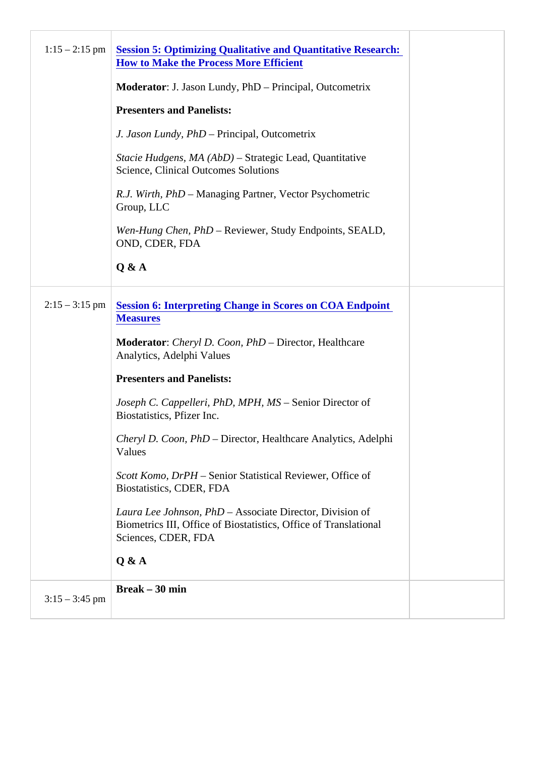|                  | 1:15 – 2:15 pm Session 5: Optimizing Qualitative and Quantitative Research:<br>How to Make the Process More Efficient                             |  |
|------------------|---------------------------------------------------------------------------------------------------------------------------------------------------|--|
|                  | Moderator: J. Jason Lundy, PhD - Principal, Outcometrix                                                                                           |  |
|                  | <b>Presenters and Panelists:</b>                                                                                                                  |  |
|                  | J. Jason Lundy, PhD Principal, Outcometrix                                                                                                        |  |
|                  | Stacie Hudgens, MA (AbD) Strategic Lead, Quantitative<br><b>Science, Clinical Outcomes Solutions</b>                                              |  |
|                  | R.J. Wirth, PhD- Managing Partner, Vector Psychometric<br>Group, LLC                                                                              |  |
|                  | Wen-Hung Chen, PhD Reviewer, Study Endpoints, SEALD,<br>OND, CDER, FDA                                                                            |  |
|                  | Q & A                                                                                                                                             |  |
|                  | 2:15 – 3:15 pm Session 6: Interpreting Change in Scores on COA Endpoint<br><b>Measures</b>                                                        |  |
|                  | Moderator: Cheryl D. Coon, PhD-Director, Healthcare<br>Analytics, Adelphi Values                                                                  |  |
|                  | <b>Presenters and Panelists:</b>                                                                                                                  |  |
|                  | Joseph C. Cappelleri, PhD, MPH, MSSenior Director of<br>Biostatistics, Pfizer Inc.                                                                |  |
|                  | Cheryl D. Coon, PhD-Director, Healthcare Analytics, Adelphi<br>Values                                                                             |  |
|                  | Scott Komo, DrPH Senior Statistical Reviewer, Office of<br>Biostatistics, CDER, FDA                                                               |  |
|                  | Laura Lee Johnson, PhD Associate Director, Division of<br>Biometrics III, Office of Biostatistics, Office of Translational<br>Sciences, CDER, FDA |  |
|                  | Q & A                                                                                                                                             |  |
| $3:15 - 3:45$ pm | Break $-30$ min                                                                                                                                   |  |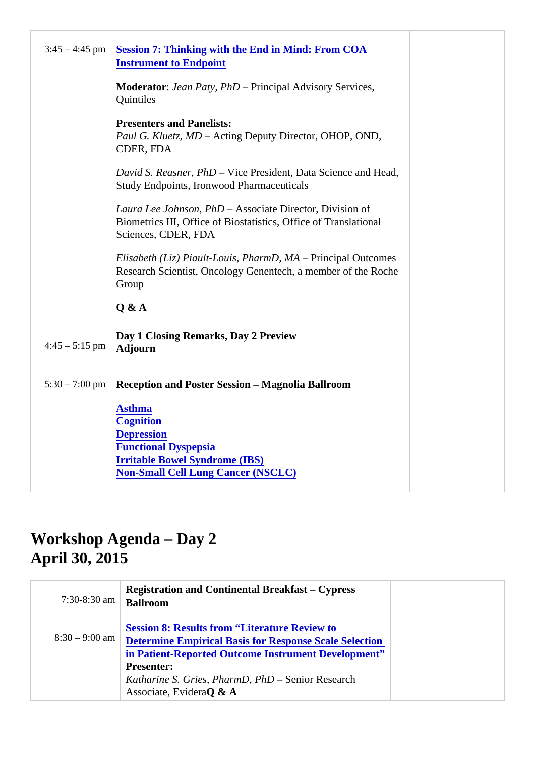|                        | 3:45 – 4:45 pm Session 7: Thinking with the End in Mind: From COA<br><b>Instrument to Endpoint</b>                                                |  |
|------------------------|---------------------------------------------------------------------------------------------------------------------------------------------------|--|
|                        | Moderator: Jean Paty, PhD- Principal Advisory Services,<br>Quintiles                                                                              |  |
|                        | <b>Presenters and Panelists:</b><br>Paul G. Kluetz, MD-Acting Deputy Director, OHOP, OND,<br>CDER, FDA                                            |  |
|                        | David S. Reasner, PhD Vice President, Data Science and Head,<br><b>Study Endpoints, Ironwood Pharmaceuticals</b>                                  |  |
|                        | Laura Lee Johnson, PhD Associate Director, Division of<br>Biometrics III, Office of Biostatistics, Office of Translational<br>Sciences, CDER, FDA |  |
|                        | Elisabeth (Liz) Piault-Louis, PharmD, MAPrincipal Outcomes<br>Research Scientist, Oncology Genentech, a member of the Roche<br>Group              |  |
|                        | Q & A                                                                                                                                             |  |
| 4:45 - 5:15 pm Adjourn | Day 1 Closing Remarks, Day 2 Preview                                                                                                              |  |
|                        | 5:30 – 7:00 pm Reception and Poster Session – Magnolia Ballroom                                                                                   |  |
|                        | Asthma<br>Cognition<br><b>Depression</b><br><b>Functional Dyspepsia</b><br>Irritable Bowel Syndrome (IBS)<br>Non-Small Cell Lung Cancer (NSCLC)   |  |

## Workshop Agenda – Day 2 April 30, 2015

| 7:30-8:30 am Ballroom | <b>Registration and Continental Breakfast-Cypress</b>                                                                                                                                                                                                                  |
|-----------------------|------------------------------------------------------------------------------------------------------------------------------------------------------------------------------------------------------------------------------------------------------------------------|
|                       | Session 8: Results from "Literature Review to<br>8:30 - 9:00 am Determine Empirical Basis for Response Scale Selection<br>in Patient-Reported Outcome Instrument Development"<br>Presenter:<br>Katharine S. Gries, PharmD, PhDSenior Research<br>Associate, Evide@ & A |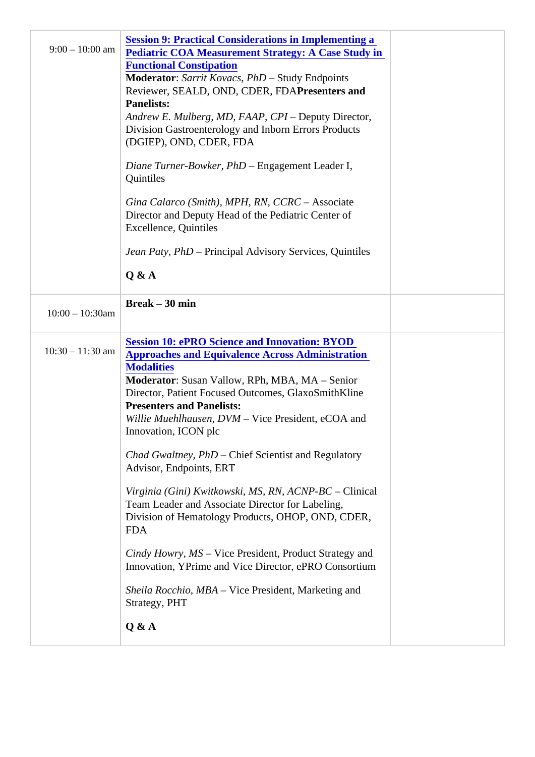|                    | Session 9: Practical Considerations in Implementing a<br>9:00 - 10:00 am Pediatric COA Measurement Strategy: A Case Study in<br><b>Functional Constipation</b><br>Moderator: Sarrit Kovacs, PhD-Study Endpoints<br>Reviewer, SEALD, OND, CDER, FDP resenters and<br>Panelists:<br>Andrew E. Mulberg, MD, FAAP, CPI Deputy Director,<br>Division Gastroenterology and Inborn Errors Products<br>(DGIEP), OND, CDER, FDA<br>Diane Turner-Bowker, PhD Engagement Leader I,<br>Quintiles<br>Gina Calarco (Smith), MPH, RN, CCRCAssociate<br>Director and Deputy Head of the Pediatric Center of<br><b>Excellence, Quintiles</b><br>Jean Paty, PhD Principal Advisory Services, Quintiles<br>Q & A                                                                                                                                   |  |
|--------------------|---------------------------------------------------------------------------------------------------------------------------------------------------------------------------------------------------------------------------------------------------------------------------------------------------------------------------------------------------------------------------------------------------------------------------------------------------------------------------------------------------------------------------------------------------------------------------------------------------------------------------------------------------------------------------------------------------------------------------------------------------------------------------------------------------------------------------------|--|
|                    | Break $-30$ min                                                                                                                                                                                                                                                                                                                                                                                                                                                                                                                                                                                                                                                                                                                                                                                                                 |  |
| $10:00 - 10:30$ am |                                                                                                                                                                                                                                                                                                                                                                                                                                                                                                                                                                                                                                                                                                                                                                                                                                 |  |
|                    | Session 10: ePRO Science and Innovation: BYOD<br>10:30 - 11:30 am Approaches and Equivalence Across Administration<br><b>Modalities</b><br>Moderator: Susan Vallow, RPh, MBA, MA - Senior<br>Director, Patient Focused Outcomes, GlaxoSmithKline<br><b>Presenters and Panelists:</b><br>Willie Muehlhausen, DVM Vice President, eCOA and<br>Innovation, ICON plc<br>Chad Gwaltney, PhD Chief Scientist and Regulatory<br>Advisor, Endpoints, ERT<br>Virginia (Gini) Kwitkowski, MS, RN, ACNP-BEClinical<br>Team Leader and Associate Director for Labeling,<br>Division of Hematology Products, OHOP, OND, CDER,<br><b>FDA</b><br>Cindy Howry, MS- Vice President, Product Strategy and<br>Innovation, YPrime and Vice Director, ePRO Consortium<br>Sheila Rocchio, MBA Vice President, Marketing and<br>Strategy, PHT<br>Q & A |  |